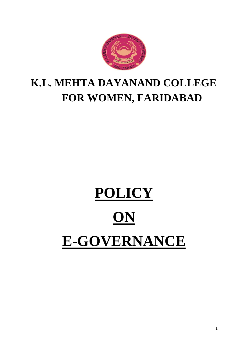

# **K.L. MEHTA DAYANAND COLLEGE FOR WOMEN, FARIDABAD**

# **POLICY ON E-GOVERNANCE**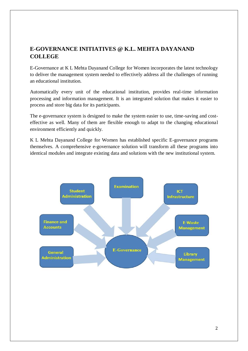#### **E-GOVERNANCE INITIATIVES @ K.L. MEHTA DAYANAND COLLEGE**

E-Governance at K L Mehta Dayanand College for Women incorporates the latest technology to deliver the management system needed to effectively address all the challenges of running an educational institution.

Automatically every unit of the educational institution, provides real-time information processing and information management. It is an integrated solution that makes it easier to process and store big data for its participants.

The e-governance system is designed to make the system easier to use, time-saving and costeffective as well. Many of them are flexible enough to adapt to the changing educational environment efficiently and quickly.

K L Mehta Dayanand College for Women has established specific E-governance programs themselves. A comprehensive e-governance solution will transform all these programs into identical modules and integrate existing data and solutions with the new institutional system.

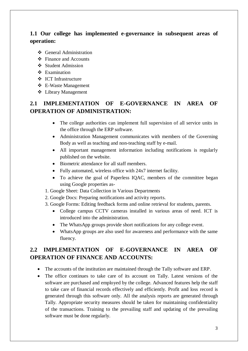#### **1.1 Our college has implemented e-governance in subsequent areas of operation:**

- **❖** General Administration
- Finance and Accounts
- ❖ Student Admission
- ❖ Examination
- ICT Infrastructure
- E-Waste Management
- Library Management

#### **2.1 IMPLEMENTATION OF E-GOVERNANCE IN AREA OF OPERATION OF ADMINISTRATION:**

- The college authorities can implement full supervision of all service units in the office through the ERP software.
- Administration Management communicates with members of the Governing Body as well as teaching and non-teaching staff by e-mail.
- All important management information including notifications is regularly published on the website.
- Biometric attendance for all staff members.
- Fully automated, wireless office with 24x7 internet facility.
- To achieve the goal of Paperless IQAC, members of the committee began using Google properties as-
- 1. Google Sheet: Data Collection in Various Departments
- 2. Google Docs: Preparing notifications and activity reports.
- 3. Google Forms: Editing feedback forms and online retrieval for students, parents.
	- College campus CCTV cameras installed in various areas of need. ICT is introduced into the administration.
	- The WhatsApp groups provide short notifications for any college event.
	- WhatsApp groups are also used for awareness and performance with the same fluency.

#### **2.2 IMPLEMENTATION OF E-GOVERNANCE IN AREA OF OPERATION OF FINANCE AND ACCOUNTS:**

- The accounts of the institution are maintained through the Tally software and ERP.
- The office continues to take care of its account on Tally. Latest versions of the software are purchased and employed by the college. Advanced features help the staff to take care of financial records effectively and efficiently. Profit and loss record is generated through this software only. All the analysis reports are generated through Tally. Appropriate security measures should be taken for maintaining confidentiality of the transactions. Training to the prevailing staff and updating of the prevailing software must be done regularly.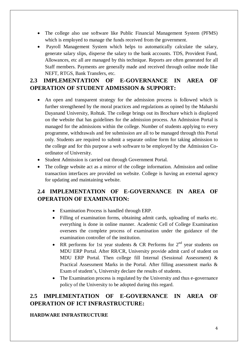- The college also use software like Public Financial Management System (PFMS) which is employed to manage the funds received from the government.
- Payroll Management System which helps to automatically calculate the salary, generate salary slips, disperse the salary to the bank accounts. TDS, Provident Fund, Allowances, etc all are managed by this technique. Reports are often generated for all Staff members. Payments are generally made and received through online mode like NEFT, RTGS, Bank Transfers, etc.

#### **2.3 IMPLEMENTATION OF E-GOVERNANCE IN AREA OF OPERATION OF STUDENT ADMISSION & SUPPORT:**

- An open and transparent strategy for the admission process is followed which is further strengthened by the moral practices and regulations as opined by the Maharshi Dayanand University, Rohtak. The college brings out its Brochure which is displayed on the website that has guidelines for the admission process. An Admission Portal is managed for the admissions within the college. Number of students applying to every programme, withdrawals and fee submission are all to be managed through this Portal only. Students are required to submit a separate online form for taking admission to the college and for this purpose a web software to be employed by the Admission Coordinator of University.
- Student Admission is carried out through Government Portal.
- The college website act as a mirror of the college information. Admission and online transaction interfaces are provided on website. College is having an external agency for updating and maintaining website.

#### **2.4 IMPLEMENTATION OF E-GOVERNANCE IN AREA OF OPERATION OF EXAMINATION:**

- Examination Process is handled through ERP.
- Filling of examination forms, obtaining admit cards, uploading of marks etc. everything is done in online manner. Academic Cell of College Examination oversees the complete process of examination under the guidance of the examination controller of the institution.
- RR performs for 1st year students & CR Performs for  $2<sup>nd</sup>$  year students on MDU ERP Portal. After RR/CR, University provide admit card of student on MDU ERP Portal. Then college fill Internal (Sessional Assessment) & Practical Assessment Marks in the Portal. After filling assessment marks & Exam of student's, University declare the results of students.
- The Examination process is regulated by the University and thus e-governance policy of the University to be adopted during this regard.

### **2.5 IMPLEMENTATION OF E-GOVERNANCE IN AREA OF OPERATION OF ICT INFRASTRUCTURE:**

#### **HARDWARE INFRASTRUCTURE**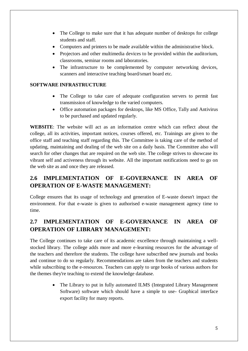- The College to make sure that it has adequate number of desktops for college students and staff.
- Computers and printers to be made available within the administrative block.
- Projectors and other multimedia devices to be provided within the auditorium, classrooms, seminar rooms and laboratories.
- The infrastructure to be complemented by computer networking devices, scanners and interactive teaching board/smart board etc.

#### **SOFTWARE INFRASTRUCTURE**

- The College to take care of adequate configuration servers to permit fast transmission of knowledge to the varied computers.
- Office automation packages for desktops, like MS Office, Tally and Antivirus to be purchased and updated regularly.

**WEBSITE**: The website will act as an information centre which can reflect about the college, all its activities, important notices, courses offered, etc. Trainings are given to the office staff and teaching staff regarding this. The Committee is taking care of the method of updating, maintaining and dealing of the web site on a daily basis. The Committee also will search for other changes that are required on the web site. The college strives to showcase its vibrant self and activeness through its website. All the important notifications need to go on the web site as and once they are released.

### **2.6 IMPLEMENTATION OF E-GOVERNANCE IN AREA OF OPERATION OF E-WASTE MANAGEMENT:**

College ensures that its usage of technology and generation of E-waste doesn't impact the environment. For that e-waste is given to authorised e-waste management agency time to time.

## **2.7 IMPLEMENTATION OF E-GOVERNANCE IN AREA OF OPERATION OF LIBRARY MANAGEMENT:**

The College continues to take care of its academic excellence through maintaining a wellstocked library. The college adds more and more e-learning resources for the advantage of the teachers and therefore the students. The college have subscribed new journals and books and continue to do so regularly. Recommendations are taken from the teachers and students while subscribing to the e-resources. Teachers can apply to urge books of various authors for the themes they're teaching to extend the knowledge database.

> • The Library to put in fully automated ILMS (Integrated Library Management) Software) software which should have a simple to use- Graphical interface export facility for many reports.